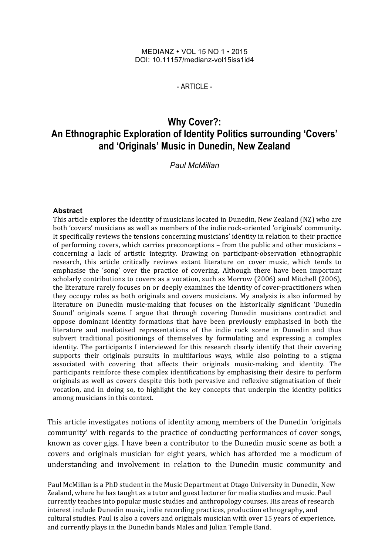#### MEDIANZ ! VOL 15 NO 1 • 2015 DOI: 10.11157/medianz-vol15iss1id4

#### $-$  ARTICLE  $-$

# **Why Cover?: An Ethnographic Exploration of Identity Politics surrounding 'Covers' and 'Originals' Music in Dunedin, New Zealand**

*Paul McMillan*

#### **Abstract**

This article explores the identity of musicians located in Dunedin, New Zealand (NZ) who are both 'covers' musicians as well as members of the indie rock-oriented 'originals' community. It specifically reviews the tensions concerning musicians' identity in relation to their practice of performing covers, which carries preconceptions – from the public and other musicians – concerning a lack of artistic integrity. Drawing on participant-observation ethnographic research, this article critically reviews extant literature on cover music, which tends to emphasise the 'song' over the practice of covering. Although there have been important scholarly contributions to covers as a vocation, such as Morrow (2006) and Mitchell (2006), the literature rarely focuses on or deeply examines the identity of cover-practitioners when they occupy roles as both originals and covers musicians. My analysis is also informed by literature on Dunedin music-making that focuses on the historically significant 'Dunedin Sound' originals scene. I argue that through covering Dunedin musicians contradict and oppose dominant identity formations that have been previously emphasised in both the literature and mediatised representations of the indie rock scene in Dunedin and thus subvert traditional positionings of themselves by formulating and expressing a complex identity. The participants I interviewed for this research clearly identify that their covering supports their originals pursuits in multifarious ways, while also pointing to a stigma associated with covering that affects their originals music-making and identity. The participants reinforce these complex identifications by emphasising their desire to perform originals as well as covers despite this both pervasive and reflexive stigmatisation of their vocation, and in doing so, to highlight the key concepts that underpin the identity politics among musicians in this context.

This article investigates notions of identity among members of the Dunedin 'originals community' with regards to the practice of conducting performances of cover songs, known as cover gigs. I have been a contributor to the Dunedin music scene as both a covers and originals musician for eight years, which has afforded me a modicum of understanding and involvement in relation to the Dunedin music community and

Paul McMillan is a PhD student in the Music Department at Otago University in Dunedin, New Zealand, where he has taught as a tutor and guest lecturer for media studies and music. Paul currently teaches into popular music studies and anthropology courses. His areas of research interest include Dunedin music, indie recording practices, production ethnography, and cultural studies. Paul is also a covers and originals musician with over 15 years of experience, and currently plays in the Dunedin bands Males and Julian Temple Band.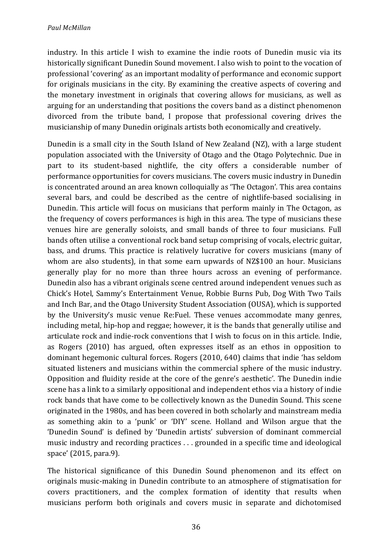industry. In this article I wish to examine the indie roots of Dunedin music via its historically significant Dunedin Sound movement. I also wish to point to the vocation of professional 'covering' as an important modality of performance and economic support for originals musicians in the city. By examining the creative aspects of covering and the monetary investment in originals that covering allows for musicians, as well as arguing for an understanding that positions the covers band as a distinct phenomenon divorced from the tribute band, I propose that professional covering drives the musicianship of many Dunedin originals artists both economically and creatively.

Dunedin is a small city in the South Island of New Zealand (NZ), with a large student population associated with the University of Otago and the Otago Polytechnic. Due in part to its student-based nightlife, the city offers a considerable number of performance opportunities for covers musicians. The covers music industry in Dunedin is concentrated around an area known colloquially as 'The Octagon'. This area contains several bars, and could be described as the centre of nightlife-based socialising in Dunedin. This article will focus on musicians that perform mainly in The Octagon, as the frequency of covers performances is high in this area. The type of musicians these venues hire are generally soloists, and small bands of three to four musicians. Full bands often utilise a conventional rock band setup comprising of vocals, electric guitar, bass, and drums. This practice is relatively lucrative for covers musicians (many of whom are also students), in that some earn upwards of NZ\$100 an hour. Musicians generally play for no more than three hours across an evening of performance. Dunedin also has a vibrant originals scene centred around independent venues such as Chick's Hotel, Sammy's Entertainment Venue, Robbie Burns Pub, Dog With Two Tails and Inch Bar, and the Otago University Student Association (OUSA), which is supported by the University's music venue Re:Fuel. These venues accommodate many genres, including metal, hip-hop and reggae; however, it is the bands that generally utilise and articulate rock and indie-rock conventions that I wish to focus on in this article. Indie, as Rogers (2010) has argued, often expresses itself as an ethos in opposition to dominant hegemonic cultural forces. Rogers (2010, 640) claims that indie 'has seldom situated listeners and musicians within the commercial sphere of the music industry. Opposition and fluidity reside at the core of the genre's aesthetic'. The Dunedin indie scene has a link to a similarly oppositional and independent ethos via a history of indie rock bands that have come to be collectively known as the Dunedin Sound. This scene originated in the 1980s, and has been covered in both scholarly and mainstream media as something akin to a 'punk' or 'DIY' scene. Holland and Wilson argue that the 'Dunedin Sound' is defined by 'Dunedin artists' subversion of dominant commercial music industry and recording practices  $\dots$  grounded in a specific time and ideological space' (2015, para.9).

The historical significance of this Dunedin Sound phenomenon and its effect on originals music-making in Dunedin contribute to an atmosphere of stigmatisation for covers practitioners, and the complex formation of identity that results when musicians perform both originals and covers music in separate and dichotomised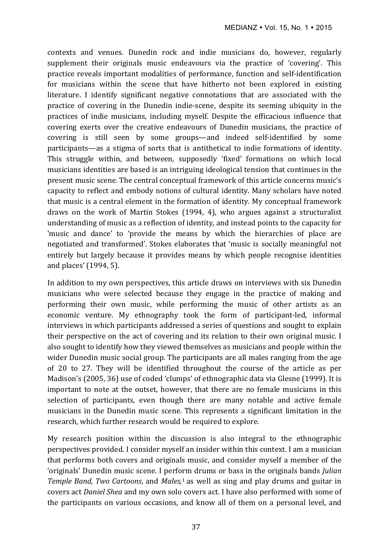contexts and venues. Dunedin rock and indie musicians do, however, regularly supplement their originals music endeavours via the practice of 'covering'. This practice reveals important modalities of performance, function and self-identification for musicians within the scene that have hitherto not been explored in existing literature. I identify significant negative connotations that are associated with the practice of covering in the Dunedin indie-scene, despite its seeming ubiquity in the practices of indie musicians, including myself. Despite the efficacious influence that covering exerts over the creative endeavours of Dunedin musicians, the practice of covering is still seen by some groups—and indeed self-identified by some participants—as a stigma of sorts that is antithetical to indie formations of identity. This struggle within, and between, supposedly 'fixed' formations on which local musicians identities are based is an intriguing ideological tension that continues in the present music scene. The central conceptual framework of this article concerns music's capacity to reflect and embody notions of cultural identity. Many scholars have noted that music is a central element in the formation of identity. My conceptual framework draws on the work of Martin Stokes  $(1994, 4)$ , who argues against a structuralist understanding of music as a reflection of identity, and instead points to the capacity for 'music and dance' to 'provide the means by which the hierarchies of place are negotiated and transformed'. Stokes elaborates that 'music is socially meaningful not entirely but largely because it provides means by which people recognise identities and places' (1994, 5).

In addition to my own perspectives, this article draws on interviews with six Dunedin musicians who were selected because they engage in the practice of making and performing their own music, while performing the music of other artists as an economic venture. My ethnography took the form of participant-led, informal interviews in which participants addressed a series of questions and sought to explain their perspective on the act of covering and its relation to their own original music. I also sought to identify how they viewed themselves as musicians and people within the wider Dunedin music social group. The participants are all males ranging from the age of 20 to 27. They will be identified throughout the course of the article as per Madison's (2005, 36) use of coded 'clumps' of ethnographic data via Glesne (1999). It is important to note at the outset, however, that there are no female musicians in this selection of participants, even though there are many notable and active female musicians in the Dunedin music scene. This represents a significant limitation in the research, which further research would be required to explore.

My research position within the discussion is also integral to the ethnographic perspectives provided. I consider myself an insider within this context. I am a musician that performs both covers and originals music, and consider myself a member of the 'originals' Dunedin music scene. I perform drums or bass in the originals bands *Julian*  Temple Band, Two Cartoons, and Males,<sup>1</sup> as well as sing and play drums and guitar in covers act *Daniel Shea* and my own solo covers act. I have also performed with some of the participants on various occasions, and know all of them on a personal level, and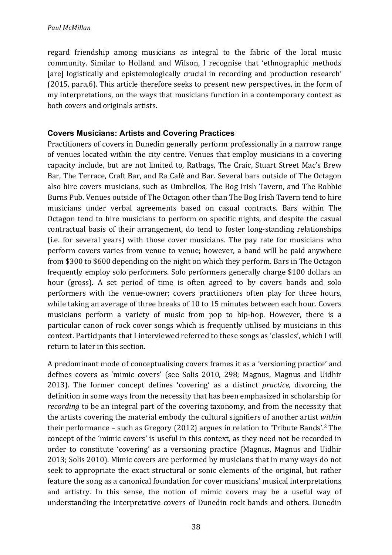#### *Paul McMillan*

regard friendship among musicians as integral to the fabric of the local music community. Similar to Holland and Wilson, I recognise that 'ethnographic methods [are] logistically and epistemologically crucial in recording and production research' (2015, para.6). This article therefore seeks to present new perspectives, in the form of my interpretations, on the ways that musicians function in a contemporary context as both covers and originals artists.

# **Covers Musicians: Artists and Covering Practices**

Practitioners of covers in Dunedin generally perform professionally in a narrow range of venues located within the city centre. Venues that employ musicians in a covering capacity include, but are not limited to, Ratbags, The Craic, Stuart Street Mac's Brew Bar, The Terrace, Craft Bar, and Ra Café and Bar. Several bars outside of The Octagon also hire covers musicians, such as Ombrellos, The Bog Irish Tavern, and The Robbie Burns Pub. Venues outside of The Octagon other than The Bog Irish Tavern tend to hire musicians under verbal agreements based on casual contracts. Bars within The Octagon tend to hire musicians to perform on specific nights, and despite the casual contractual basis of their arrangement, do tend to foster long-standing relationships (i.e. for several years) with those cover musicians. The pay rate for musicians who perform covers varies from venue to venue; however, a band will be paid anywhere from \$300 to \$600 depending on the night on which they perform. Bars in The Octagon frequently employ solo performers. Solo performers generally charge \$100 dollars an hour (gross). A set period of time is often agreed to by covers bands and solo performers with the venue-owner; covers practitioners often play for three hours, while taking an average of three breaks of 10 to 15 minutes between each hour. Covers musicians perform a variety of music from pop to hip-hop. However, there is a particular canon of rock cover songs which is frequently utilised by musicians in this context. Participants that I interviewed referred to these songs as 'classics', which I will return to later in this section.

A predominant mode of conceptualising covers frames it as a 'versioning practice' and defines covers as 'mimic covers' (see Solis 2010, 298; Magnus, Magnus and Uidhir 2013). The former concept defines 'covering' as a distinct *practice*, divorcing the definition in some ways from the necessity that has been emphasized in scholarship for *recording* to be an integral part of the covering taxonomy, and from the necessity that the artists covering the material embody the cultural signifiers of another artist *within* their performance – such as Gregory (2012) argues in relation to 'Tribute Bands'.<sup>2</sup> The concept of the 'mimic covers' is useful in this context, as they need not be recorded in order to constitute 'covering' as a versioning practice (Magnus, Magnus and Uidhir 2013; Solis 2010). Mimic covers are performed by musicians that in many ways do not seek to appropriate the exact structural or sonic elements of the original, but rather feature the song as a canonical foundation for cover musicians' musical interpretations and artistry. In this sense, the notion of mimic covers may be a useful way of understanding the interpretative covers of Dunedin rock bands and others. Dunedin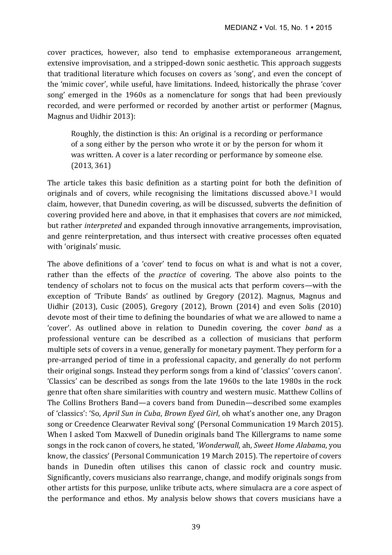cover practices, however, also tend to emphasise extemporaneous arrangement, extensive improvisation, and a stripped-down sonic aesthetic. This approach suggests that traditional literature which focuses on covers as 'song', and even the concept of the 'mimic cover', while useful, have limitations. Indeed, historically the phrase 'cover' song' emerged in the 1960s as a nomenclature for songs that had been previously recorded, and were performed or recorded by another artist or performer (Magnus, Magnus and Uidhir 2013):

Roughly, the distinction is this: An original is a recording or performance of a song either by the person who wrote it or by the person for whom it was written. A cover is a later recording or performance by someone else.  $(2013, 361)$ 

The article takes this basic definition as a starting point for both the definition of originals and of covers, while recognising the limitations discussed above.<sup>3</sup> I would claim, however, that Dunedin covering, as will be discussed, subverts the definition of covering provided here and above, in that it emphasises that covers are *not* mimicked, but rather *interpreted* and expanded through innovative arrangements, improvisation, and genre reinterpretation, and thus intersect with creative processes often equated with 'originals' music.

The above definitions of a 'cover' tend to focus on what is and what is not a cover, rather than the effects of the *practice* of covering. The above also points to the tendency of scholars not to focus on the musical acts that perform covers—with the exception of 'Tribute Bands' as outlined by Gregory (2012). Magnus, Magnus and Uidhir (2013), Cusic (2005), Gregory (2012), Brown (2014) and even Solis (2010) devote most of their time to defining the boundaries of what we are allowed to name a 'cover'. As outlined above in relation to Dunedin covering, the cover *band* as a professional venture can be described as a collection of musicians that perform multiple sets of covers in a venue, generally for monetary payment. They perform for a pre-arranged period of time in a professional capacity, and generally do not perform their original songs. Instead they perform songs from a kind of 'classics' 'covers canon'. 'Classics' can be described as songs from the late 1960s to the late 1980s in the rock genre that often share similarities with country and western music. Matthew Collins of The Collins Brothers Band—a covers band from Dunedin—described some examples of 'classics': 'So, *April Sun in Cuba, Brown Eyed Girl*, oh what's another one, any Dragon song or Creedence Clearwater Revival song' (Personal Communication 19 March 2015). When I asked Tom Maxwell of Dunedin originals band The Killergrams to name some songs in the rock canon of covers, he stated, '*Wonderwall*, ah, *Sweet Home Alabama*, you know, the classics' (Personal Communication 19 March 2015). The repertoire of covers bands in Dunedin often utilises this canon of classic rock and country music. Significantly, covers musicians also rearrange, change, and modify originals songs from other artists for this purpose, unlike tribute acts, where simulacra are a core aspect of the performance and ethos. My analysis below shows that covers musicians have a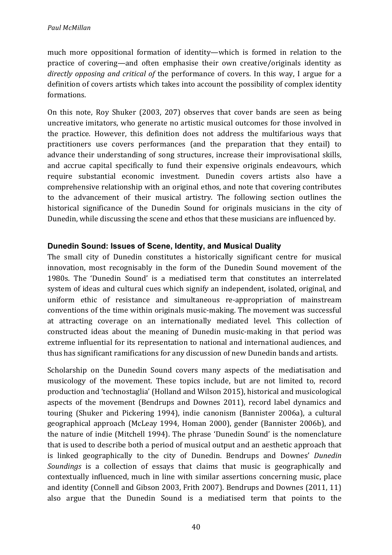much more oppositional formation of identity—which is formed in relation to the practice of covering—and often emphasise their own creative/originals identity as *directly opposing and critical of the performance of covers.* In this way, I argue for a definition of covers artists which takes into account the possibility of complex identity formations.

On this note, Roy Shuker (2003, 207) observes that cover bands are seen as being uncreative imitators, who generate no artistic musical outcomes for those involved in the practice. However, this definition does not address the multifarious ways that practitioners use covers performances (and the preparation that they entail) to advance their understanding of song structures, increase their improvisational skills, and accrue capital specifically to fund their expensive originals endeavours, which require substantial economic investment. Dunedin covers artists also have a comprehensive relationship with an original ethos, and note that covering contributes to the advancement of their musical artistry. The following section outlines the historical significance of the Dunedin Sound for originals musicians in the city of Dunedin, while discussing the scene and ethos that these musicians are influenced by.

# **Dunedin Sound: Issues of Scene, Identity, and Musical Duality**

The small city of Dunedin constitutes a historically significant centre for musical innovation, most recognisably in the form of the Dunedin Sound movement of the 1980s. The 'Dunedin Sound' is a mediatised term that constitutes an interrelated system of ideas and cultural cues which signify an independent, isolated, original, and uniform ethic of resistance and simultaneous re-appropriation of mainstream conventions of the time within originals music-making. The movement was successful at attracting coverage on an internationally mediated level. This collection of constructed ideas about the meaning of Dunedin music-making in that period was extreme influential for its representation to national and international audiences, and thus has significant ramifications for any discussion of new Dunedin bands and artists.

Scholarship on the Dunedin Sound covers many aspects of the mediatisation and musicology of the movement. These topics include, but are not limited to, record production and 'technostaglia' (Holland and Wilson 2015), historical and musicological aspects of the movement (Bendrups and Downes 2011), record label dynamics and touring (Shuker and Pickering 1994), indie canonism (Bannister 2006a), a cultural geographical approach (McLeay 1994, Homan 2000), gender (Bannister 2006b), and the nature of indie (Mitchell 1994). The phrase 'Dunedin Sound' is the nomenclature that is used to describe both a period of musical output and an aesthetic approach that is linked geographically to the city of Dunedin. Bendrups and Downes' *Dunedin Soundings* is a collection of essays that claims that music is geographically and contextually influenced, much in line with similar assertions concerning music, place and identity (Connell and Gibson 2003, Frith 2007). Bendrups and Downes  $(2011, 11)$ also argue that the Dunedin Sound is a mediatised term that points to the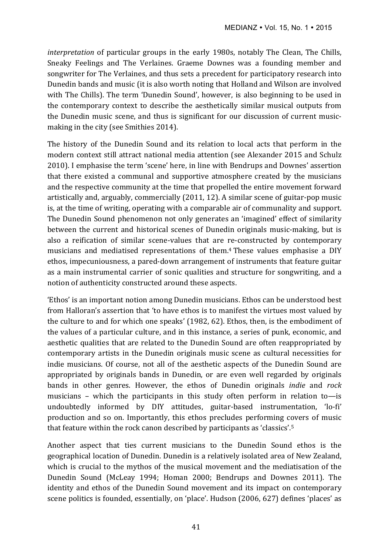*interpretation* of particular groups in the early 1980s, notably The Clean, The Chills, Sneaky Feelings and The Verlaines. Graeme Downes was a founding member and songwriter for The Verlaines, and thus sets a precedent for participatory research into Dunedin bands and music (it is also worth noting that Holland and Wilson are involved with The Chills). The term 'Dunedin Sound', however, is also beginning to be used in the contemporary context to describe the aesthetically similar musical outputs from the Dunedin music scene, and thus is significant for our discussion of current musicmaking in the city (see Smithies 2014).

The history of the Dunedin Sound and its relation to local acts that perform in the modern context still attract national media attention (see Alexander 2015 and Schulz 2010). I emphasise the term 'scene' here, in line with Bendrups and Downes' assertion that there existed a communal and supportive atmosphere created by the musicians and the respective community at the time that propelled the entire movement forward artistically and, arguably, commercially (2011, 12). A similar scene of guitar-pop music is, at the time of writing, operating with a comparable air of communality and support. The Dunedin Sound phenomenon not only generates an 'imagined' effect of similarity between the current and historical scenes of Dunedin originals music-making, but is also a reification of similar scene-values that are re-constructed by contemporary musicians and mediatised representations of them.<sup>4</sup> These values emphasise a DIY ethos, impecuniousness, a pared-down arrangement of instruments that feature guitar as a main instrumental carrier of sonic qualities and structure for songwriting, and a notion of authenticity constructed around these aspects.

'Ethos' is an important notion among Dunedin musicians. Ethos can be understood best from Halloran's assertion that 'to have ethos is to manifest the virtues most valued by the culture to and for which one speaks' (1982, 62). Ethos, then, is the embodiment of the values of a particular culture, and in this instance, a series of punk, economic, and aesthetic qualities that are related to the Dunedin Sound are often reappropriated by contemporary artists in the Dunedin originals music scene as cultural necessities for indie musicians. Of course, not all of the aesthetic aspects of the Dunedin Sound are appropriated by originals bands in Dunedin, or are even well regarded by originals bands in other genres. However, the ethos of Dunedin originals *indie* and *rock* musicians – which the participants in this study often perform in relation to—is undoubtedly informed by DIY attitudes, guitar-based instrumentation, 'lo-fi' production and so on. Importantly, this ethos precludes performing covers of music that feature within the rock canon described by participants as 'classics'.<sup>5</sup>

Another aspect that ties current musicians to the Dunedin Sound ethos is the geographical location of Dunedin. Dunedin is a relatively isolated area of New Zealand, which is crucial to the mythos of the musical movement and the mediatisation of the Dunedin Sound (McLeay 1994; Homan 2000; Bendrups and Downes 2011). The identity and ethos of the Dunedin Sound movement and its impact on contemporary scene politics is founded, essentially, on 'place'. Hudson (2006, 627) defines 'places' as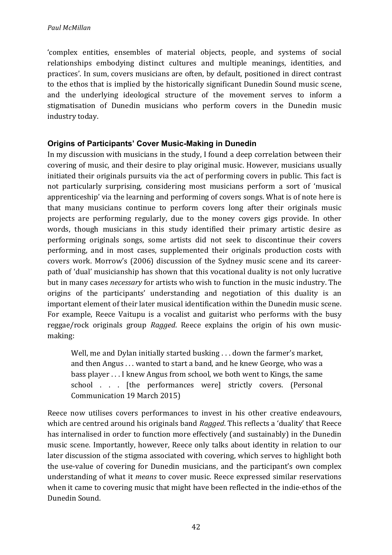'complex entities, ensembles of material objects, people, and systems of social relationships embodying distinct cultures and multiple meanings, identities, and practices'. In sum, covers musicians are often, by default, positioned in direct contrast to the ethos that is implied by the historically significant Dunedin Sound music scene, and the underlying ideological structure of the movement serves to inform a stigmatisation of Dunedin musicians who perform covers in the Dunedin music industry today.

# **Origins of Participants' Cover Music-Making in Dunedin**

In my discussion with musicians in the study, I found a deep correlation between their covering of music, and their desire to play original music. However, musicians usually initiated their originals pursuits via the act of performing covers in public. This fact is not particularly surprising, considering most musicians perform a sort of 'musical apprenticeship' via the learning and performing of covers songs. What is of note here is that many musicians continue to perform covers long after their originals music projects are performing regularly, due to the money covers gigs provide. In other words, though musicians in this study identified their primary artistic desire as performing originals songs, some artists did not seek to discontinue their covers performing, and in most cases, supplemented their originals production costs with covers work. Morrow's (2006) discussion of the Sydney music scene and its careerpath of 'dual' musicianship has shown that this vocational duality is not only lucrative but in many cases *necessary* for artists who wish to function in the music industry. The origins of the participants' understanding and negotiation of this duality is an important element of their later musical identification within the Dunedin music scene. For example, Reece Vaitupu is a vocalist and guitarist who performs with the busy reggae/rock originals group *Ragged*. Reece explains the origin of his own musicmaking: 

Well, me and Dylan initially started busking  $\dots$  down the farmer's market, and then Angus . . . wanted to start a band, and he knew George, who was a bass player . . . I knew Angus from school, we both went to Kings, the same school . . . [the performances were] strictly covers. (Personal Communication 19 March 2015)

Reece now utilises covers performances to invest in his other creative endeavours, which are centred around his originals band *Ragged*. This reflects a 'duality' that Reece has internalised in order to function more effectively (and sustainably) in the Dunedin music scene. Importantly, however, Reece only talks about identity in relation to our later discussion of the stigma associated with covering, which serves to highlight both the use-value of covering for Dunedin musicians, and the participant's own complex understanding of what it *means* to cover music. Reece expressed similar reservations when it came to covering music that might have been reflected in the indie-ethos of the Dunedin Sound.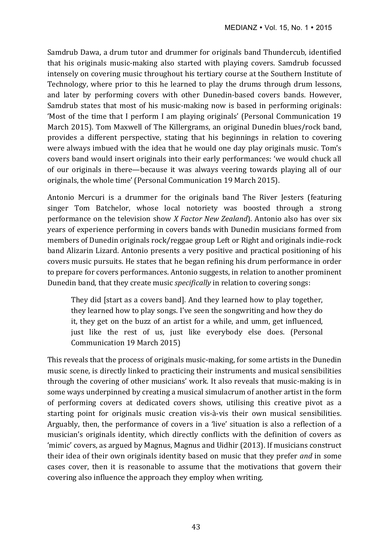Samdrub Dawa, a drum tutor and drummer for originals band Thundercub, identified that his originals music-making also started with playing covers. Samdrub focussed intensely on covering music throughout his tertiary course at the Southern Institute of Technology, where prior to this he learned to play the drums through drum lessons, and later by performing covers with other Dunedin-based covers bands. However, Samdrub states that most of his music-making now is based in performing originals: 'Most of the time that I perform I am playing originals' (Personal Communication 19) March 2015). Tom Maxwell of The Killergrams, an original Dunedin blues/rock band, provides a different perspective, stating that his beginnings in relation to covering were always imbued with the idea that he would one day play originals music. Tom's covers band would insert originals into their early performances: 'we would chuck all of our originals in there—because it was always veering towards playing all of our originals, the whole time' (Personal Communication 19 March 2015).

Antonio Mercuri is a drummer for the originals band The River Jesters (featuring singer Tom Batchelor, whose local notoriety was boosted through a strong performance on the television show *X Factor New Zealand*). Antonio also has over six years of experience performing in covers bands with Dunedin musicians formed from members of Dunedin originals rock/reggae group Left or Right and originals indie-rock band Alizarin Lizard. Antonio presents a very positive and practical positioning of his covers music pursuits. He states that he began refining his drum performance in order to prepare for covers performances. Antonio suggests, in relation to another prominent Dunedin band, that they create music *specifically* in relation to covering songs:

They did [start as a covers band]. And they learned how to play together, they learned how to play songs. I've seen the songwriting and how they do it, they get on the buzz of an artist for a while, and umm, get influenced, just like the rest of us, just like everybody else does. (Personal Communication 19 March 2015)

This reveals that the process of originals music-making, for some artists in the Dunedin music scene, is directly linked to practicing their instruments and musical sensibilities through the covering of other musicians' work. It also reveals that music-making is in some ways underpinned by creating a musical simulacrum of another artist in the form of performing covers at dedicated covers shows, utilising this creative pivot as a starting point for originals music creation vis-à-vis their own musical sensibilities. Arguably, then, the performance of covers in a 'live' situation is also a reflection of a musician's originals identity, which directly conflicts with the definition of covers as 'mimic' covers, as argued by Magnus, Magnus and Uidhir (2013). If musicians construct their idea of their own originals identity based on music that they prefer *and* in some cases cover, then it is reasonable to assume that the motivations that govern their covering also influence the approach they employ when writing.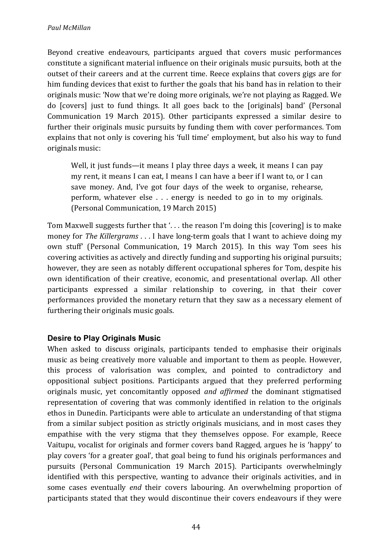Beyond creative endeavours, participants argued that covers music performances constitute a significant material influence on their originals music pursuits, both at the outset of their careers and at the current time. Reece explains that covers gigs are for him funding devices that exist to further the goals that his band has in relation to their originals music: 'Now that we're doing more originals, we're not playing as Ragged. We do [covers] just to fund things. It all goes back to the [originals] band' (Personal Communication 19 March 2015). Other participants expressed a similar desire to further their originals music pursuits by funding them with cover performances. Tom explains that not only is covering his 'full time' employment, but also his way to fund originals music:

Well, it just funds—it means I play three days a week, it means I can pay my rent, it means I can eat, I means I can have a beer if I want to, or I can save money. And, I've got four days of the week to organise, rehearse, perform, whatever else  $\ldots$  energy is needed to go in to my originals. (Personal Communication, 19 March 2015)

Tom Maxwell suggests further that '... the reason I'm doing this [covering] is to make money for *The Killergrams* . . . I have long-term goals that I want to achieve doing my own stuff' (Personal Communication, 19 March 2015). In this way Tom sees his covering activities as actively and directly funding and supporting his original pursuits; however, they are seen as notably different occupational spheres for Tom, despite his own identification of their creative, economic, and presentational overlap. All other participants expressed a similar relationship to covering, in that their cover performances provided the monetary return that they saw as a necessary element of furthering their originals music goals.

# **Desire to Play Originals Music**

When asked to discuss originals, participants tended to emphasise their originals music as being creatively more valuable and important to them as people. However, this process of valorisation was complex, and pointed to contradictory and oppositional subject positions. Participants argued that they preferred performing originals music, yet concomitantly opposed *and affirmed* the dominant stigmatised representation of covering that was commonly identified in relation to the originals ethos in Dunedin. Participants were able to articulate an understanding of that stigma from a similar subject position as strictly originals musicians, and in most cases they empathise with the very stigma that they themselves oppose. For example, Reece Vaitupu, vocalist for originals and former covers band Ragged, argues he is 'happy' to play covers 'for a greater goal', that goal being to fund his originals performances and pursuits (Personal Communication 19 March 2015). Participants overwhelmingly identified with this perspective, wanting to advance their originals activities, and in some cases eventually *end* their covers labouring. An overwhelming proportion of participants stated that they would discontinue their covers endeavours if they were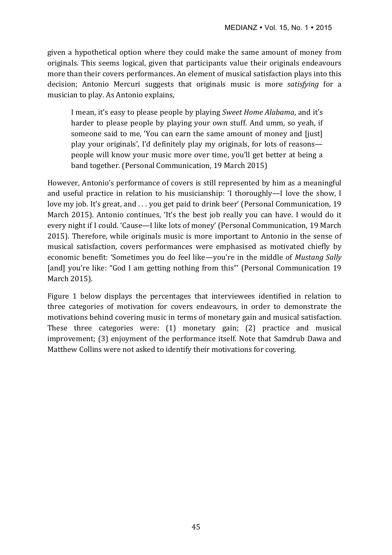given a hypothetical option where they could make the same amount of money from originals. This seems logical, given that participants value their originals endeavours more than their covers performances. An element of musical satisfaction plays into this decision; Antonio Mercuri suggests that originals music is more *satisfying* for a musician to play. As Antonio explains,

I mean, it's easy to please people by playing *Sweet Home Alabama*, and it's harder to please people by playing your own stuff. And umm, so yeah, if someone said to me, 'You can earn the same amount of money and [just] play your originals', I'd definitely play my originals, for lots of reasons people will know your music more over time, you'll get better at being a band together. (Personal Communication, 19 March 2015)

However, Antonio's performance of covers is still represented by him as a meaningful and useful practice in relation to his musicianship: 'I thoroughly—I love the show, I love my job. It's great, and . . . you get paid to drink beer' (Personal Communication, 19 March 2015). Antonio continues, 'It's the best job really you can have. I would do it every night if I could. 'Cause—I like lots of money' (Personal Communication, 19 March 2015). Therefore, while originals music is more important to Antonio in the sense of musical satisfaction, covers performances were emphasised as motivated chiefly by economic benefit: 'Sometimes you do feel like—you're in the middle of *Mustang Sally* [and] you're like: "God I am getting nothing from this"' (Personal Communication 19 March 2015).

Figure 1 below displays the percentages that interviewees identified in relation to three categories of motivation for covers endeavours, in order to demonstrate the motivations behind covering music in terms of monetary gain and musical satisfaction. These three categories were:  $(1)$  monetary gain;  $(2)$  practice and musical improvement; (3) enjoyment of the performance itself. Note that Samdrub Dawa and Matthew Collins were not asked to identify their motivations for covering.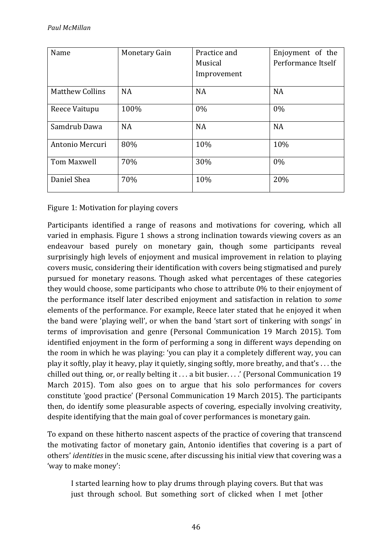| Name                   | <b>Monetary Gain</b> | Practice and | Enjoyment of the   |
|------------------------|----------------------|--------------|--------------------|
|                        |                      | Musical      | Performance Itself |
|                        |                      | Improvement  |                    |
| <b>Matthew Collins</b> | <b>NA</b>            | <b>NA</b>    | <b>NA</b>          |
| Reece Vaitupu          | 100%                 | 0%           | 0%                 |
| Samdrub Dawa           | <b>NA</b>            | <b>NA</b>    | <b>NA</b>          |
| Antonio Mercuri        | 80%                  | 10%          | 10%                |
| Tom Maxwell            | 70%                  | 30%          | $0\%$              |
| Daniel Shea            | 70%                  | 10%          | 20%                |

Figure 1: Motivation for playing covers

Participants identified a range of reasons and motivations for covering, which all varied in emphasis. Figure 1 shows a strong inclination towards viewing covers as an endeavour based purely on monetary gain, though some participants reveal surprisingly high levels of enjoyment and musical improvement in relation to playing covers music, considering their identification with covers being stigmatised and purely pursued for monetary reasons. Though asked what percentages of these categories they would choose, some participants who chose to attribute  $0\%$  to their enjoyment of the performance itself later described enjoyment and satisfaction in relation to *some* elements of the performance. For example, Reece later stated that he enjoyed it when the band were 'playing well', or when the band 'start sort of tinkering with songs' in terms of improvisation and genre (Personal Communication 19 March 2015). Tom identified enjoyment in the form of performing a song in different ways depending on the room in which he was playing: 'you can play it a completely different way, you can play it softly, play it heavy, play it quietly, singing softly, more breathy, and that's  $\dots$  the chilled out thing, or, or really belting it  $\dots$  a bit busier.  $\dots$  (Personal Communication 19 March 2015). Tom also goes on to argue that his solo performances for covers constitute 'good practice' (Personal Communication 19 March 2015). The participants then, do identify some pleasurable aspects of covering, especially involving creativity, despite identifying that the main goal of cover performances is monetary gain.

To expand on these hitherto nascent aspects of the practice of covering that transcend the motivating factor of monetary gain, Antonio identifies that covering is a part of others' *identities* in the music scene, after discussing his initial view that covering was a 'way to make money':

I started learning how to play drums through playing covers. But that was just through school. But something sort of clicked when I met (other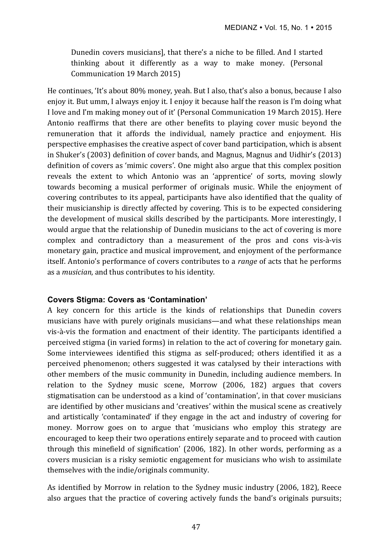Dunedin covers musicians], that there's a niche to be filled. And I started thinking about it differently as a way to make money. (Personal Communication 19 March 2015)

He continues, 'It's about  $80\%$  money, yeah. But I also, that's also a bonus, because I also enjoy it. But umm, I always enjoy it. I enjoy it because half the reason is I'm doing what I love and I'm making money out of it' (Personal Communication 19 March 2015). Here Antonio reaffirms that there are other benefits to playing cover music beyond the remuneration that it affords the individual, namely practice and enjoyment. His perspective emphasises the creative aspect of cover band participation, which is absent in Shuker's (2003) definition of cover bands, and Magnus, Magnus and Uidhir's (2013) definition of covers as 'mimic covers'. One might also argue that this complex position reveals the extent to which Antonio was an 'apprentice' of sorts, moving slowly towards becoming a musical performer of originals music. While the enjoyment of covering contributes to its appeal, participants have also identified that the quality of their musicianship is directly affected by covering. This is to be expected considering the development of musical skills described by the participants. More interestingly, I would argue that the relationship of Dunedin musicians to the act of covering is more complex and contradictory than a measurement of the pros and cons vis-à-vis monetary gain, practice and musical improvement, and enjoyment of the performance itself. Antonio's performance of covers contributes to a *range* of acts that he performs as a *musician*, and thus contributes to his identity.

### **Covers Stigma: Covers as 'Contamination'**

A key concern for this article is the kinds of relationships that Dunedin covers musicians have with purely originals musicians—and what these relationships mean vis-à-vis the formation and enactment of their identity. The participants identified a perceived stigma (in varied forms) in relation to the act of covering for monetary gain. Some interviewees identified this stigma as self-produced; others identified it as a perceived phenomenon; others suggested it was catalysed by their interactions with other members of the music community in Dunedin, including audience members. In relation to the Sydney music scene, Morrow  $(2006, 182)$  argues that covers stigmatisation can be understood as a kind of 'contamination', in that cover musicians are identified by other musicians and 'creatives' within the musical scene as creatively and artistically 'contaminated' if they engage in the act and industry of covering for money. Morrow goes on to argue that 'musicians who employ this strategy are encouraged to keep their two operations entirely separate and to proceed with caution through this minefield of signification' (2006, 182). In other words, performing as a covers musician is a risky semiotic engagement for musicians who wish to assimilate themselves with the indie/originals community.

As identified by Morrow in relation to the Sydney music industry (2006, 182), Reece also argues that the practice of covering actively funds the band's originals pursuits;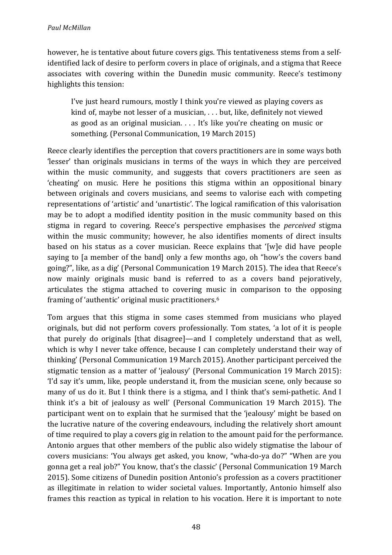however, he is tentative about future covers gigs. This tentativeness stems from a selfidentified lack of desire to perform covers in place of originals, and a stigma that Reece associates with covering within the Dunedin music community. Reece's testimony highlights this tension:

I've just heard rumours, mostly I think you're viewed as playing covers as kind of, maybe not lesser of a musician,  $\ldots$  but, like, definitely not viewed as good as an original musician.  $\ldots$  It's like you're cheating on music or something. (Personal Communication, 19 March 2015)

Reece clearly identifies the perception that covers practitioners are in some ways both 'lesser' than originals musicians in terms of the ways in which they are perceived within the music community, and suggests that covers practitioners are seen as 'cheating' on music. Here he positions this stigma within an oppositional binary between originals and covers musicians, and seems to valorise each with competing representations of 'artistic' and 'unartistic'. The logical ramification of this valorisation may be to adopt a modified identity position in the music community based on this stigma in regard to covering. Reece's perspective emphasises the *perceived* stigma within the music community; however, he also identifies moments of direct insults based on his status as a cover musician. Reece explains that '[w]e did have people saying to [a member of the band] only a few months ago, oh "how's the covers band going?", like, as a dig' (Personal Communication 19 March 2015). The idea that Reece's now mainly originals music band is referred to as a covers band pejoratively, articulates the stigma attached to covering music in comparison to the opposing framing of 'authentic' original music practitioners.<sup>6</sup>

Tom argues that this stigma in some cases stemmed from musicians who played originals, but did not perform covers professionally. Tom states, 'a lot of it is people that purely do originals [that disagree]—and I completely understand that as well, which is why I never take offence, because I can completely understand their way of thinking' (Personal Communication 19 March 2015). Another participant perceived the stigmatic tension as a matter of 'jealousy' (Personal Communication 19 March 2015): 'I'd say it's umm, like, people understand it, from the musician scene, only because so many of us do it. But I think there is a stigma, and I think that's semi-pathetic. And I think it's a bit of jealousy as well' (Personal Communication 19 March 2015). The participant went on to explain that he surmised that the 'jealousy' might be based on the lucrative nature of the covering endeavours, including the relatively short amount of time required to play a covers gig in relation to the amount paid for the performance. Antonio argues that other members of the public also widely stigmatise the labour of covers musicians: 'You always get asked, you know, "wha-do-ya do?" "When are you gonna get a real job?" You know, that's the classic' (Personal Communication 19 March 2015). Some citizens of Dunedin position Antonio's profession as a covers practitioner as illegitimate in relation to wider societal values. Importantly, Antonio himself also frames this reaction as typical in relation to his vocation. Here it is important to note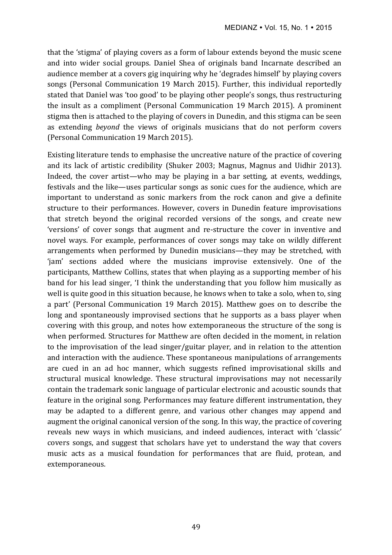that the 'stigma' of playing covers as a form of labour extends beyond the music scene and into wider social groups. Daniel Shea of originals band Incarnate described an audience member at a covers gig inquiring why he 'degrades himself' by playing covers songs (Personal Communication 19 March 2015). Further, this individual reportedly stated that Daniel was 'too good' to be playing other people's songs, thus restructuring the insult as a compliment (Personal Communication 19 March 2015). A prominent stigma then is attached to the playing of covers in Dunedin, and this stigma can be seen as extending *beyond* the views of originals musicians that do not perform covers (Personal Communication 19 March 2015).

Existing literature tends to emphasise the uncreative nature of the practice of covering and its lack of artistic credibility (Shuker 2003; Magnus, Magnus and Uidhir 2013). Indeed, the cover artist—who may be playing in a bar setting, at events, weddings, festivals and the like—uses particular songs as sonic cues for the audience, which are important to understand as sonic markers from the rock canon and give a definite structure to their performances. However, covers in Dunedin feature improvisations that stretch beyond the original recorded versions of the songs, and create new 'versions' of cover songs that augment and re-structure the cover in inventive and novel ways. For example, performances of cover songs may take on wildly different arrangements when performed by Dunedin musicians—they may be stretched, with 'jam' sections added where the musicians improvise extensively. One of the participants, Matthew Collins, states that when playing as a supporting member of his band for his lead singer, 'I think the understanding that you follow him musically as well is quite good in this situation because, he knows when to take a solo, when to, sing a part' (Personal Communication 19 March 2015). Matthew goes on to describe the long and spontaneously improvised sections that he supports as a bass player when covering with this group, and notes how extemporaneous the structure of the song is when performed. Structures for Matthew are often decided in the moment, in relation to the improvisation of the lead singer/guitar player, and in relation to the attention and interaction with the audience. These spontaneous manipulations of arrangements are cued in an ad hoc manner, which suggests refined improvisational skills and structural musical knowledge. These structural improvisations may not necessarily contain the trademark sonic language of particular electronic and acoustic sounds that feature in the original song. Performances may feature different instrumentation, they may be adapted to a different genre, and various other changes may append and augment the original canonical version of the song. In this way, the practice of covering reveals new ways in which musicians, and indeed audiences, interact with 'classic' covers songs, and suggest that scholars have yet to understand the way that covers music acts as a musical foundation for performances that are fluid, protean, and extemporaneous.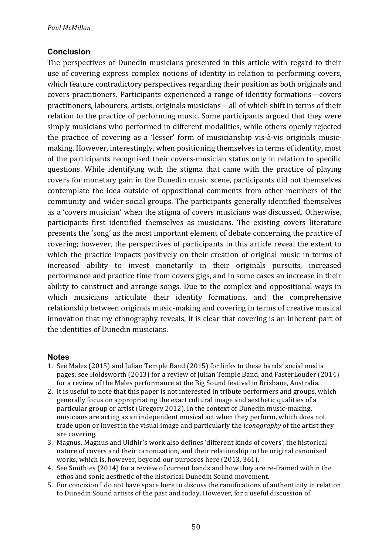# **Conclusion**

The perspectives of Dunedin musicians presented in this article with regard to their use of covering express complex notions of identity in relation to performing covers, which feature contradictory perspectives regarding their position as both originals and covers practitioners. Participants experienced a range of identity formations—covers practitioners, labourers, artists, originals musicians—all of which shift in terms of their relation to the practice of performing music. Some participants argued that they were simply musicians who performed in different modalities, while others openly rejected the practice of covering as a 'lesser' form of musicianship vis-à-vis originals musicmaking. However, interestingly, when positioning themselves in terms of identity, most of the participants recognised their covers-musician status only in relation to specific questions. While identifying with the stigma that came with the practice of playing covers for monetary gain in the Dunedin music scene, participants did not themselves contemplate the idea outside of oppositional comments from other members of the community and wider social groups. The participants generally identified themselves as a 'covers musician' when the stigma of covers musicians was discussed. Otherwise, participants first identified themselves as musicians. The existing covers literature presents the 'song' as the most important element of debate concerning the practice of covering; however, the perspectives of participants in this article reveal the extent to which the practice impacts positively on their creation of original music in terms of increased ability to invest monetarily in their originals pursuits, increased performance and practice time from covers gigs, and in some cases an increase in their ability to construct and arrange songs. Due to the complex and oppositional ways in which musicians articulate their identity formations, and the comprehensive relationship between originals music-making and covering in terms of creative musical innovation that my ethnography reveals, it is clear that covering is an inherent part of the identities of Dunedin musicians.

### **Notes**

- 1. See Males (2015) and Julian Temple Band (2015) for links to these bands' social media pages; see Holdsworth (2013) for a review of Julian Temple Band, and FasterLouder (2014) for a review of the Males performance at the Big Sound festival in Brisbane, Australia.
- 2. It is useful to note that this paper is not interested in tribute performers and groups, which generally focus on appropriating the exact cultural image and aesthetic qualities of a particular group or artist (Gregory 2012). In the context of Dunedin music-making, musicians are acting as an independent musical act when they perform, which does not trade upon or invest in the visual image and particularly the *iconography* of the artist they are covering.
- 3. Magnus, Magnus and Uidhir's work also defines 'different kinds of covers', the historical nature of covers and their canonization, and their relationship to the original canonized works, which is, however, beyond our purposes here (2013, 361).
- 4. See Smithies (2014) for a review of current bands and how they are re-framed within the ethos and sonic aesthetic of the historical Dunedin Sound movement.
- 5. For concision I do not have space here to discuss the ramifications of authenticity in relation to Dunedin Sound artists of the past and today. However, for a useful discussion of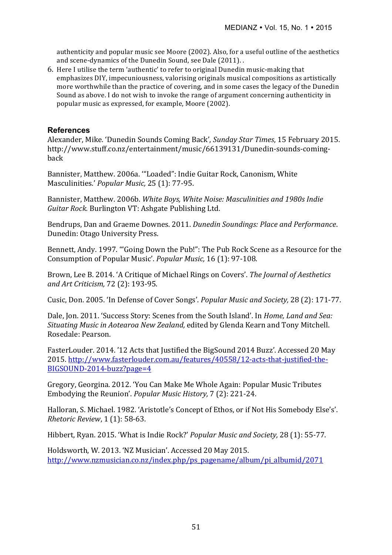authenticity and popular music see Moore (2002). Also, for a useful outline of the aesthetics and scene-dynamics of the Dunedin Sound, see Dale (2011). .

6. Here I utilise the term 'authentic' to refer to original Dunedin music-making that emphasizes DIY, impecuniousness, valorising originals musical compositions as artistically more worthwhile than the practice of covering, and in some cases the legacy of the Dunedin Sound as above. I do not wish to invoke the range of argument concerning authenticity in popular music as expressed, for example, Moore (2002).

#### **References**

Alexander, Mike. 'Dunedin Sounds Coming Back', *Sunday Star Times*, 15 February 2015. http://www.stuff.co.nz/entertainment/music/66139131/Dunedin-sounds-comingback

Bannister, Matthew. 2006a. "Loaded": Indie Guitar Rock, Canonism, White Masculinities.' Popular Music, 25 (1): 77-95.

Bannister, Matthew. 2006b. White Boys, White Noise: Masculinities and 1980s Indie *Guitar Rock.* Burlington VT: Ashgate Publishing Ltd.

Bendrups, Dan and Graeme Downes. 2011. *Dunedin Soundings: Place and Performance*. Dunedin: Otago University Press.

Bennett, Andy. 1997. ""Going Down the Pub!": The Pub Rock Scene as a Resource for the Consumption of Popular Music'. *Popular Music*, 16 (1): 97-108.

Brown, Lee B. 2014. 'A Critique of Michael Rings on Covers'. The *Journal of Aesthetics and Art Criticism,* 72 (2): 193-95.

Cusic, Don. 2005. 'In Defense of Cover Songs'. *Popular Music and Society,* 28 (2): 171-77.

Dale, Jon. 2011. 'Success Story: Scenes from the South Island'. In *Home, Land and Sea: Situating Music in Aotearoa New Zealand,* edited by Glenda Kearn and Tony Mitchell. Rosedale: Pearson.

FasterLouder. 2014. '12 Acts that Justified the BigSound 2014 Buzz'. Accessed 20 May 2015. http://www.fasterlouder.com.au/features/40558/12-acts-that-justified-the-BIGSOUND-2014-buzz?page=4

Gregory, Georgina. 2012. 'You Can Make Me Whole Again: Popular Music Tributes Embodying the Reunion'. *Popular Music History*, 7 (2): 221-24.

Halloran, S. Michael. 1982. 'Aristotle's Concept of Ethos, or if Not His Somebody Else's'. *Rhetoric Review*, 1 (1): 58-63.

Hibbert, Ryan. 2015. 'What is Indie Rock?' *Popular Music and Society*, 28 (1): 55-77.

Holdsworth, W. 2013. 'NZ Musician'. Accessed 20 May 2015. http://www.nzmusician.co.nz/index.php/ps\_pagename/album/pi\_albumid/2071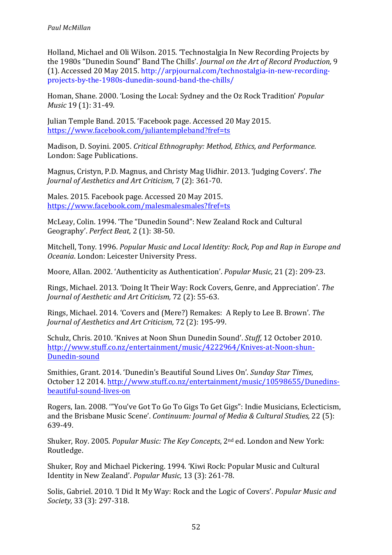Holland, Michael and Oli Wilson. 2015. 'Technostalgia In New Recording Projects by the 1980s "Dunedin Sound" Band The Chills'. *Journal on the Art of Record Production*, 9 (1). Accessed 20 May 2015. http://arpjournal.com/technostalgia-in-new-recordingprojects-by-the-1980s-dunedin-sound-band-the-chills/

Homan, Shane. 2000. 'Losing the Local: Sydney and the Oz Rock Tradition' *Popular Music* 19 (1): 31-49.

Julian Temple Band. 2015. 'Facebook page. Accessed 20 May 2015. https://www.facebook.com/juliantempleband?fref=ts

Madison, D. Soyini. 2005. *Critical Ethnography: Method, Ethics, and Performance.* London: Sage Publications.

Magnus, Cristyn, P.D. Magnus, and Christy Mag Uidhir. 2013. 'Judging Covers'. *The Journal of Aesthetics and Art Criticism,* 7 (2): 361-70.

Males. 2015. Facebook page. Accessed 20 May 2015. https://www.facebook.com/malesmalesmales?fref=ts

McLeav. Colin. 1994. 'The "Dunedin Sound": New Zealand Rock and Cultural Geography'. *Perfect Beat,* 2 (1): 38-50.

Mitchell, Tony. 1996. *Popular Music and Local Identity: Rock, Pop and Rap in Europe and Oceania*. London: Leicester University Press.

Moore, Allan. 2002. 'Authenticity as Authentication'. *Popular Music.* 21 (2): 209-23.

Rings, Michael. 2013. 'Doing It Their Way: Rock Covers, Genre, and Appreciation'. *The Journal of Aesthetic and Art Criticism,* 72 (2): 55-63.

Rings, Michael. 2014. 'Covers and (Mere?) Remakes: A Reply to Lee B. Brown'. *The Journal of Aesthetics and Art Criticism, 72 (2): 195-99.* 

Schulz, Chris. 2010. 'Knives at Noon Shun Dunedin Sound'. *Stuff*, 12 October 2010. http://www.stuff.co.nz/entertainment/music/4222964/Knives-at-Noon-shun-Dunedin-sound

Smithies, Grant. 2014. 'Dunedin's Beautiful Sound Lives On'. *Sunday Star Times*, October 12 2014. http://www.stuff.co.nz/entertainment/music/10598655/Dunedinsbeautiful-sound-lives-on

Rogers, Ian. 2008. "'You've Got To Go To Gigs To Get Gigs": Indie Musicians, Eclecticism, and the Brisbane Music Scene'. *Continuum: Journal of Media & Cultural Studies*, 22 (5): 639-49.

Shuker, Roy. 2005. *Popular Music: The Key Concepts*, 2<sup>nd</sup> ed. London and New York: Routledge.

Shuker, Roy and Michael Pickering. 1994. 'Kiwi Rock: Popular Music and Cultural Identity in New Zealand'. *Popular Music*, 13 (3): 261-78.

Solis, Gabriel. 2010. 'I Did It My Way: Rock and the Logic of Covers'. *Popular Music and Society,* 33 (3): 297-318.